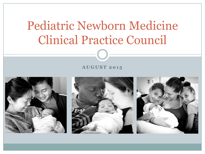# Pediatric Newborn Medicine Clinical Practice Council

#### **A U G U S T 2 0 1 5**





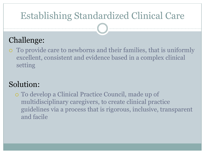# Establishing Standardized Clinical Care

## Challenge:

 To provide care to newborns and their families, that is uniformly excellent, consistent and evidence based in a complex clinical setting

## Solution:

 To develop a Clinical Practice Council, made up of multidisciplinary caregivers, to create clinical practice guidelines via a process that is rigorous, inclusive, transparent and facile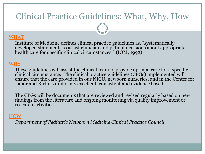## Clinical Practice Guidelines: What, Why, How

### WHAT

Institute of Medicine defines clinical practice guidelines as, "systematically developed statements to assist clinician and patient decisions about appropriate health care for specific clinical circumstances." (IOM, 1992)

### WHY

These guidelines will assist the clinical team to provide optimal care for a specific clinical circumstance. The clinical practice guidelines (CPGs) implemented will ensure that the care provided in our NICU, newborn nurseries, and in the Center for Labor and Birth is uniformly excellent, consistent and evidence based.

The CPGs will be documents that are reviewed and revised regularly based on new findings from the literature and ongoing monitoring via quality improvement or research activities.

#### HOW

*Department of Pediatric Newborn Medicine Clinical Practice Council*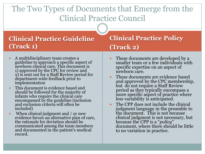## The Two Types of Documents that Emerge from the Clinical Practice Council

### **Clinical Practice Guideline (Track 1)**

- A multidisciplinary team creates a guideline to approach a specific aspect of newborn clinical care. This document is 1) approved by the CPC for review and 2) is sent out for a Staff Review period for department-wide feedback prior to implementation
- This document is evidence based and should be followed for the majority of infants who require the clinical care encompassed by the guideline (inclusion and exclusion criteria will often be included)
- When clinical judgment and / or new evidence favors an alternative plan of care, the rationale for deviation should be communicated among the team members and documented in the patient's medical record.

### **Clinical Practice Policy (Track 2)**

- These documents are developed by a smaller team or a few individuals with specific expertise on an aspect of newborn care.
- These documents are evidence based and approved by the CPC membership, but do not require a Staff Review period as they typically encompass a more specific aspect of practice where less variability is anticipated.
- The CPP does not include the clinical judgment language in the preamble to the document. This is not because clinical judgment is not necessary, but because the CPP is a "*policy*" document, where there should be little to no variation in practice.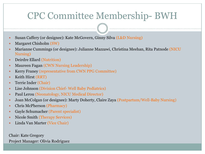## CPC Committee Membership- BWH

- Susan Caffery (or designee): Kate McGovern, Ginny Silva (L&D Nursing)
- Margaret Chisholm (SW)
- Marianne Cummings (or designee): Julianne Mazzawi, Christina Meehan, Rita Patnode (NICU Nursing)
- Deirdre Ellard (Nutrition)
- Maureen Fagan (CWN Nursing Leadership)
- Kerry Franey (representative from CWN PPG Committee)
- Keith Hirst (RRT)
- Terrie Inder (Chair)
- Lise Johnson (Division Chief- Well Baby Pediatrics)
- Paul Lerou (Neonatology, NICU Medical Director)
- Joan McColgan (or designee): Marty Doherty, Claire Zaya (Postpartum/Well-Baby Nursing)
- Chris McPherson (Pharmacy)
- Gayle Schumacher (Parent specialist)
- Nicole Smith (Therapy Services)
- Linda Van Marter (Vice Chair)

Chair: Kate Gregory Project Manager: Olivia Rodriguez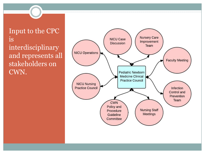### Input to the CPC is interdisciplinary and represents all stakeholders on CWN.

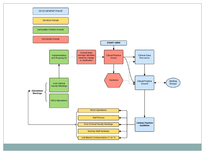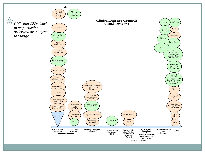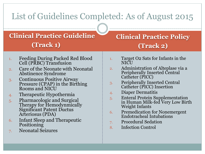## List of Guidelines Completed: As of August 2015

## **Clinical Practice Guideline (Track 1)**

- 1. Feeding During Packed Red Blood Cell (PRBC) Transfusion
- 2. Care of the Neonate with Neonatal Abstinence Syndrome
- 3. Continuous Positive Airway Pressure (CPAP) in the Birthing Rooms and NICU
- 4. Therapeutic Hypothermia
- 5. Pharmacologic and Surgical Therapy for Hemodynmically Significant Patent Ductus Arteriosus (PDA)
- 6. Infant Sleep and Therapeutic **Positioning**
- 7. Neonatal Seizures

## **Clinical Practice Policy (Track 2)**

- 1. Target O2 Sats for Infants in the NICU
- 2. Administration of Alteplase via a Peripherally Inserted Central Catheter (PICC)
- 3. Peripherally Inserted Central Catheter (PICC) Insertion
- 4. Diaper Dermatitis
- 5. Enteral Protein Supplementation in Human Milk-fed Very Low Birth Weight Infants
- 6. Premedication for Nonemergent Endotracheal Intubations
- 7. Procedural Sedation
- 8. Infection Control